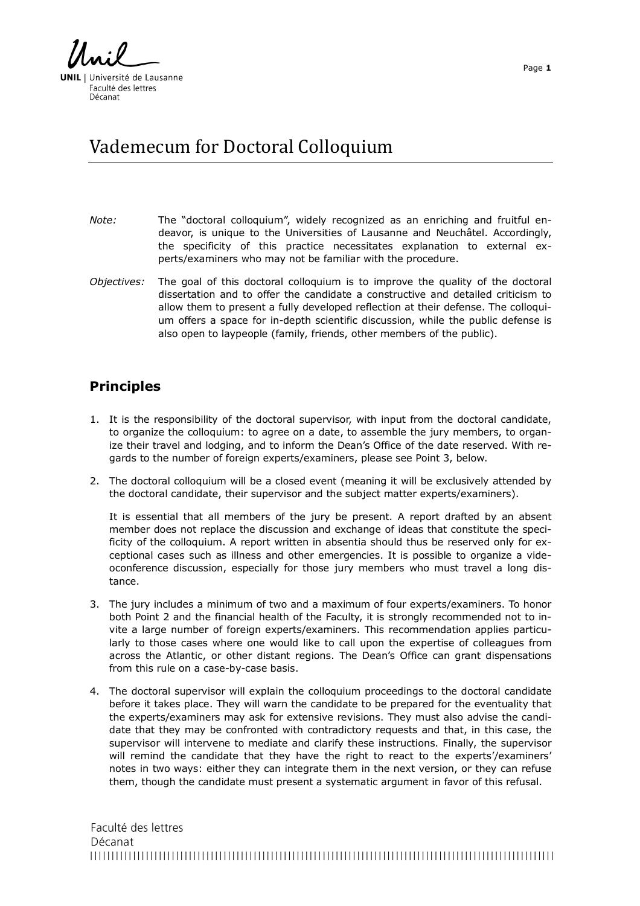**UNIL** | Université de Lausanne Faculté des lettres Décanat

## Vademecum for Doctoral Colloquium

- *Note:* The "doctoral colloquium", widely recognized as an enriching and fruitful endeavor, is unique to the Universities of Lausanne and Neuchâtel. Accordingly, the specificity of this practice necessitates explanation to external experts/examiners who may not be familiar with the procedure.
- *Objectives:* The goal of this doctoral colloquium is to improve the quality of the doctoral dissertation and to offer the candidate a constructive and detailed criticism to allow them to present a fully developed reflection at their defense. The colloquium offers a space for in-depth scientific discussion, while the public defense is also open to laypeople (family, friends, other members of the public).

## **Principles**

- 1. It is the responsibility of the doctoral supervisor, with input from the doctoral candidate, to organize the colloquium: to agree on a date, to assemble the jury members, to organize their travel and lodging, and to inform the Dean's Office of the date reserved. With regards to the number of foreign experts/examiners, please see Point 3, below.
- 2. The doctoral colloquium will be a closed event (meaning it will be exclusively attended by the doctoral candidate, their supervisor and the subject matter experts/examiners).

It is essential that all members of the jury be present. A report drafted by an absent member does not replace the discussion and exchange of ideas that constitute the specificity of the colloquium. A report written in absentia should thus be reserved only for exceptional cases such as illness and other emergencies. It is possible to organize a videoconference discussion, especially for those jury members who must travel a long distance.

- 3. The jury includes a minimum of two and a maximum of four experts/examiners. To honor both Point 2 and the financial health of the Faculty, it is strongly recommended not to invite a large number of foreign experts/examiners. This recommendation applies particularly to those cases where one would like to call upon the expertise of colleagues from across the Atlantic, or other distant regions. The Dean's Office can grant dispensations from this rule on a case-by-case basis.
- 4. The doctoral supervisor will explain the colloquium proceedings to the doctoral candidate before it takes place. They will warn the candidate to be prepared for the eventuality that the experts/examiners may ask for extensive revisions. They must also advise the candidate that they may be confronted with contradictory requests and that, in this case, the supervisor will intervene to mediate and clarify these instructions. Finally, the supervisor will remind the candidate that they have the right to react to the experts'/examiners' notes in two ways: either they can integrate them in the next version, or they can refuse them, though the candidate must present a systematic argument in favor of this refusal.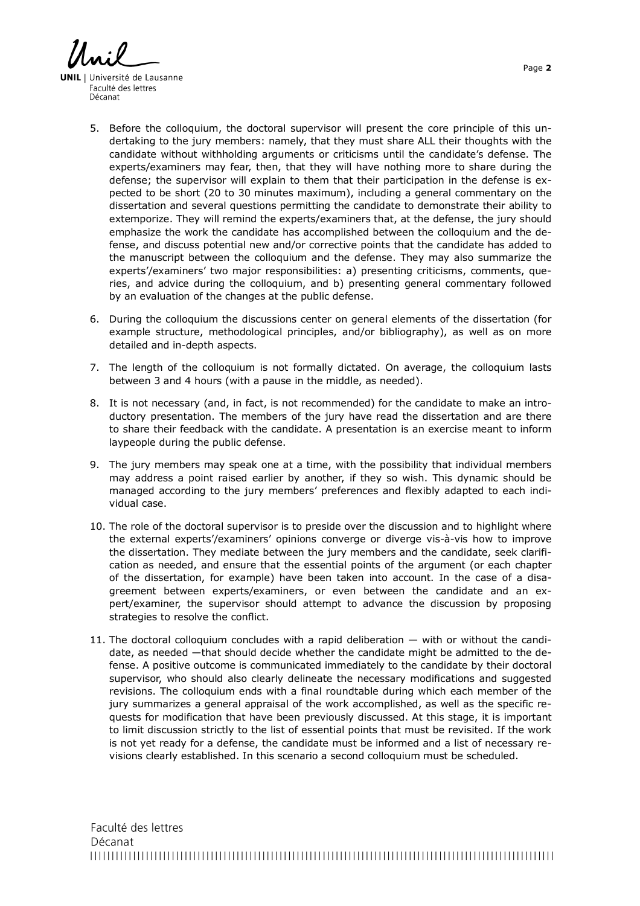**UNIL** | Université de Lausanne Faculté des lettres Décanat

- 5. Before the colloquium, the doctoral supervisor will present the core principle of this undertaking to the jury members: namely, that they must share ALL their thoughts with the candidate without withholding arguments or criticisms until the candidate's defense. The experts/examiners may fear, then, that they will have nothing more to share during the defense; the supervisor will explain to them that their participation in the defense is expected to be short (20 to 30 minutes maximum), including a general commentary on the dissertation and several questions permitting the candidate to demonstrate their ability to extemporize. They will remind the experts/examiners that, at the defense, the jury should emphasize the work the candidate has accomplished between the colloquium and the defense, and discuss potential new and/or corrective points that the candidate has added to the manuscript between the colloquium and the defense. They may also summarize the experts'/examiners' two major responsibilities: a) presenting criticisms, comments, queries, and advice during the colloquium, and b) presenting general commentary followed by an evaluation of the changes at the public defense.
- 6. During the colloquium the discussions center on general elements of the dissertation (for example structure, methodological principles, and/or bibliography), as well as on more detailed and in-depth aspects.
- 7. The length of the colloquium is not formally dictated. On average, the colloquium lasts between 3 and 4 hours (with a pause in the middle, as needed).
- 8. It is not necessary (and, in fact, is not recommended) for the candidate to make an introductory presentation. The members of the jury have read the dissertation and are there to share their feedback with the candidate. A presentation is an exercise meant to inform laypeople during the public defense.
- 9. The jury members may speak one at a time, with the possibility that individual members may address a point raised earlier by another, if they so wish. This dynamic should be managed according to the jury members' preferences and flexibly adapted to each individual case.
- 10. The role of the doctoral supervisor is to preside over the discussion and to highlight where the external experts'/examiners' opinions converge or diverge vis-à-vis how to improve the dissertation. They mediate between the jury members and the candidate, seek clarification as needed, and ensure that the essential points of the argument (or each chapter of the dissertation, for example) have been taken into account. In the case of a disagreement between experts/examiners, or even between the candidate and an expert/examiner, the supervisor should attempt to advance the discussion by proposing strategies to resolve the conflict.
- 11. The doctoral colloquium concludes with a rapid deliberation with or without the candidate, as needed —that should decide whether the candidate might be admitted to the defense. A positive outcome is communicated immediately to the candidate by their doctoral supervisor, who should also clearly delineate the necessary modifications and suggested revisions. The colloquium ends with a final roundtable during which each member of the jury summarizes a general appraisal of the work accomplished, as well as the specific requests for modification that have been previously discussed. At this stage, it is important to limit discussion strictly to the list of essential points that must be revisited. If the work is not yet ready for a defense, the candidate must be informed and a list of necessary revisions clearly established. In this scenario a second colloquium must be scheduled.